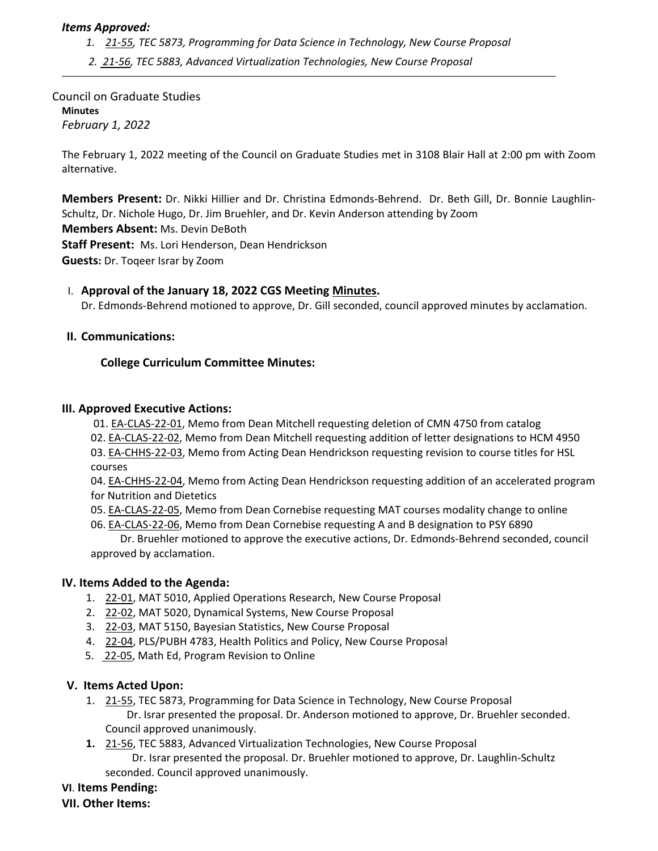# *Items Approved:*

- *1. 21‐[55,](https://castle.eiu.edu/eiucgs/currentagendaitems/agenda21-55.pdf) TEC 5873, Programming for Data Science in Technology, New Course Proposal*
- *2. 21‐[56,](https://castle.eiu.edu/eiucgs/currentagendaitems/agenda21-56.pdf) TEC 5883, Advanced Virtualization Technologies, New Course Proposal*

Council on Graduate Studies **Minutes** *February 1, 2022*

The February 1, 2022 meeting of the Council on Graduate Studies met in 3108 Blair Hall at 2:00 pm with Zoom alternative.

**Members Present:** Dr. Nikki Hillier and Dr. Christina Edmonds‐Behrend. Dr. Beth Gill, Dr. Bonnie Laughlin‐ Schultz, Dr. Nichole Hugo, Dr. Jim Bruehler, and Dr. Kevin Anderson attending by Zoom

**Members Absent:** Ms. Devin DeBoth

**Staff Present:** Ms. Lori Henderson, Dean Hendrickson

**Guests:** Dr. Toqeer Israr by Zoom

#### I. **Approval of the January 18, 2022 CGS Meeting [Minutes.](https://castle.eiu.edu/~eiucgs/currentminutes/Minutes1-18-22.pdf)**

Dr. Edmonds‐Behrend motioned to approve, Dr. Gill seconded, council approved minutes by acclamation.

#### **II. Communications:**

# **College Curriculum Committee Minutes:**

#### **III. Approved Executive Actions:**

01. EA‐[CLAS](https://castle.eiu.edu/eiucgs/exec-actions/EA-CLAS-22-01.pdf)‐22‐01, Memo from Dean Mitchell requesting deletion of CMN 4750 from catalog

02. EA‐[CLAS](https://castle.eiu.edu/eiucgs/exec-actions/EA-CLAS-22-02.pdf)‐22‐02, Memo from Dean Mitchell requesting addition of letter designations to HCM 4950

03. EA‐[CHHS](https://castle.eiu.edu/eiucgs/exec-actions/EA-CHHS-22-03.pdf)‐22‐03, Memo from Acting Dean Hendrickson requesting revision to course titles for HSL courses

04. EA‐[CHHS](https://castle.eiu.edu/eiucgs/exec-actions/EA-CHHS-22-04.pdf)‐22‐04, Memo from Acting Dean Hendrickson requesting addition of an accelerated program for Nutrition and Dietetics

- 05. EA‐[CLAS](https://castle.eiu.edu/eiucgs/exec-actions/EA-CLAS-22-05.pdf)‐22‐05, Memo from Dean Cornebise requesting MAT courses modality change to online
- 06. EA-[CLAS](https://castle.eiu.edu/eiucgs/exec-actions/EA-CLAS-22-06.pdf)-22-06, Memo from Dean Cornebise requesting A and B designation to PSY 6890

 Dr. Bruehler motioned to approve the executive actions, Dr. Edmonds‐Behrend seconded, council approved by acclamation.

#### **IV. Items Added to the Agenda:**

- 1. 22‐[01,](https://castle.eiu.edu/eiucgs/currentagendaitems/agenda22-01.pdf) MAT 5010, Applied Operations Research, New Course Proposal
- 2. 22‐[02,](https://castle.eiu.edu/eiucgs/currentagendaitems/agenda22-02.pdf) MAT 5020, Dynamical Systems, New Course Proposal
- 3. 22‐[03,](https://castle.eiu.edu/eiucgs/currentagendaitems/agenda22-03.pdf) MAT 5150, Bayesian Statistics, New Course Proposal
- 4. 22‐[04,](https://castle.eiu.edu/eiucgs/currentagendaitems/agenda22-04.pdf) PLS/PUBH 4783, Health Politics and Policy, New Course Proposal
- 5. 22-[05,](https://castle.eiu.edu/eiucgs/currentagendaitems/agenda22-05.pdf) Math Ed, Program Revision to Online

#### **V. Items Acted Upon:**

- 1. 21-[55,](https://castle.eiu.edu/eiucgs/currentagendaitems/agenda21-55.pdf) TEC 5873, Programming for Data Science in Technology, New Course Proposal Dr. Israr presented the proposal. Dr. Anderson motioned to approve, Dr. Bruehler seconded. Council approved unanimously.
- **1.** 21‐[56,](https://castle.eiu.edu/eiucgs/currentagendaitems/agenda21-56.pdf) TEC 5883, Advanced Virtualization Technologies, New Course Proposal Dr. Israr presented the proposal. Dr. Bruehler motioned to approve, Dr. Laughlin‐Schultz seconded. Council approved unanimously.

# **VI**. **Items Pending:**

**VII. Other Items:**